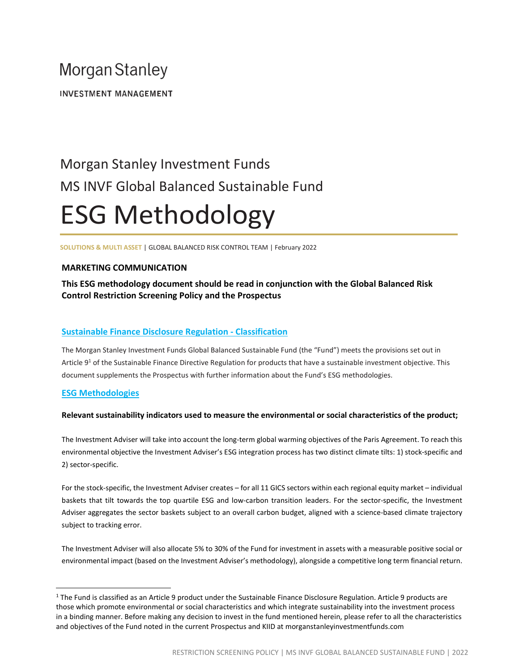# **Morgan Stanley**

**INVESTMENT MANAGEMENT** 

# Morgan Stanley Investment Funds MS INVF Global Balanced Sustainable Fund ESG Methodology

SOLUTIONS & MULTI ASSET | GLOBAL BALANCED RISK CONTROL TEAM | February 2022

# MARKETING COMMUNICATION

# This ESG methodology document should be read in conjunction with the Global Balanced Risk Control Restriction Screening Policy and the Prospectus

## Sustainable Finance Disclosure Regulation - Classification

The Morgan Stanley Investment Funds Global Balanced Sustainable Fund (the "Fund") meets the provisions set out in Article 9<sup>1</sup> of the Sustainable Finance Directive Regulation for products that have a sustainable investment objective. This document supplements the Prospectus with further information about the Fund's ESG methodologies.

# ESG Methodologies

### Relevant sustainability indicators used to measure the environmental or social characteristics of the product;

The Investment Adviser will take into account the long-term global warming objectives of the Paris Agreement. To reach this environmental objective the Investment Adviser's ESG integration process has two distinct climate tilts: 1) stock‐specific and 2) sector‐specific.

For the stock‐specific, the Investment Adviser creates – for all 11 GICS sectors within each regional equity market – individual baskets that tilt towards the top quartile ESG and low‐carbon transition leaders. For the sector‐specific, the Investment Adviser aggregates the sector baskets subject to an overall carbon budget, aligned with a science‐based climate trajectory subject to tracking error.

The Investment Adviser will also allocate 5% to 30% of the Fund for investment in assets with a measurable positive social or environmental impact (based on the Investment Adviser's methodology), alongside a competitive long term financial return.

<sup>&</sup>lt;sup>1</sup> The Fund is classified as an Article 9 product under the Sustainable Finance Disclosure Regulation. Article 9 products are those which promote environmental or social characteristics and which integrate sustainability into the investment process in a binding manner. Before making any decision to invest in the fund mentioned herein, please refer to all the characteristics and objectives of the Fund noted in the current Prospectus and KIID at morganstanleyinvestmentfunds.com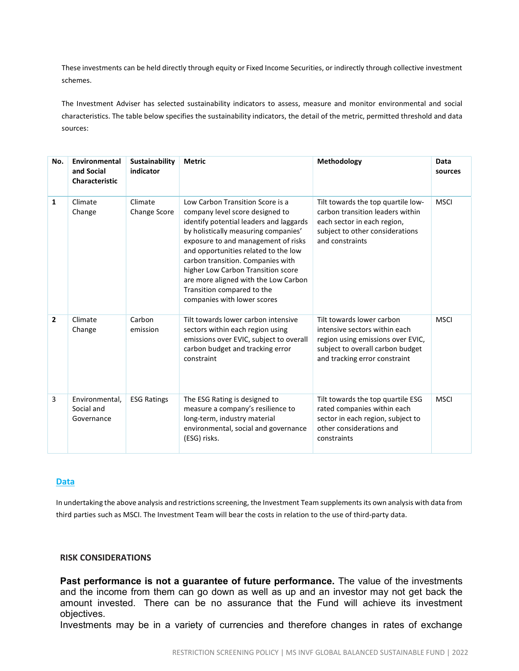These investments can be held directly through equity or Fixed Income Securities, or indirectly through collective investment schemes.

The Investment Adviser has selected sustainability indicators to assess, measure and monitor environmental and social characteristics. The table below specifies the sustainability indicators, the detail of the metric, permitted threshold and data sources:

| No.            | Environmental<br>and Social<br>Characteristic | Sustainability<br>indicator | <b>Metric</b>                                                                                                                                                                                                                                                                                                                                                                                                         | Methodology                                                                                                                                                          | Data<br>sources |
|----------------|-----------------------------------------------|-----------------------------|-----------------------------------------------------------------------------------------------------------------------------------------------------------------------------------------------------------------------------------------------------------------------------------------------------------------------------------------------------------------------------------------------------------------------|----------------------------------------------------------------------------------------------------------------------------------------------------------------------|-----------------|
| 1              | Climate<br>Change                             | Climate<br>Change Score     | Low Carbon Transition Score is a<br>company level score designed to<br>identify potential leaders and laggards<br>by holistically measuring companies'<br>exposure to and management of risks<br>and opportunities related to the low<br>carbon transition. Companies with<br>higher Low Carbon Transition score<br>are more aligned with the Low Carbon<br>Transition compared to the<br>companies with lower scores | Tilt towards the top quartile low-<br>carbon transition leaders within<br>each sector in each region,<br>subject to other considerations<br>and constraints          | <b>MSCI</b>     |
| $\overline{2}$ | Climate<br>Change                             | Carbon<br>emission          | Tilt towards lower carbon intensive<br>sectors within each region using<br>emissions over EVIC, subject to overall<br>carbon budget and tracking error<br>constraint                                                                                                                                                                                                                                                  | Tilt towards lower carbon<br>intensive sectors within each<br>region using emissions over EVIC,<br>subject to overall carbon budget<br>and tracking error constraint | <b>MSCI</b>     |
| 3              | Environmental,<br>Social and<br>Governance    | <b>ESG Ratings</b>          | The ESG Rating is designed to<br>measure a company's resilience to<br>long-term, industry material<br>environmental, social and governance<br>(ESG) risks.                                                                                                                                                                                                                                                            | Tilt towards the top quartile ESG<br>rated companies within each<br>sector in each region, subject to<br>other considerations and<br>constraints                     | <b>MSCI</b>     |

#### **Data**

In undertaking the above analysis and restrictions screening, the Investment Team supplements its own analysis with data from third parties such as MSCI. The Investment Team will bear the costs in relation to the use of third‐party data.

#### RISK CONSIDERATIONS

Past performance is not a guarantee of future performance. The value of the investments and the income from them can go down as well as up and an investor may not get back the amount invested. There can be no assurance that the Fund will achieve its investment objectives.

Investments may be in a variety of currencies and therefore changes in rates of exchange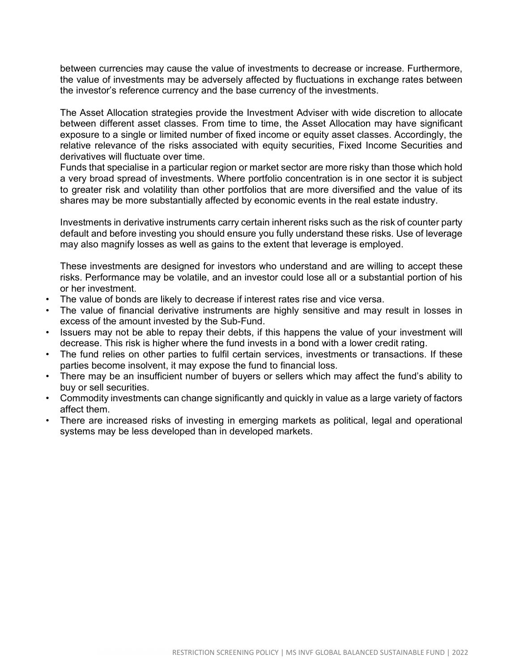between currencies may cause the value of investments to decrease or increase. Furthermore, the value of investments may be adversely affected by fluctuations in exchange rates between the investor's reference currency and the base currency of the investments.

The Asset Allocation strategies provide the Investment Adviser with wide discretion to allocate between different asset classes. From time to time, the Asset Allocation may have significant exposure to a single or limited number of fixed income or equity asset classes. Accordingly, the relative relevance of the risks associated with equity securities, Fixed Income Securities and derivatives will fluctuate over time.

Funds that specialise in a particular region or market sector are more risky than those which hold a very broad spread of investments. Where portfolio concentration is in one sector it is subject to greater risk and volatility than other portfolios that are more diversified and the value of its shares may be more substantially affected by economic events in the real estate industry.

Investments in derivative instruments carry certain inherent risks such as the risk of counter party default and before investing you should ensure you fully understand these risks. Use of leverage may also magnify losses as well as gains to the extent that leverage is employed.

These investments are designed for investors who understand and are willing to accept these risks. Performance may be volatile, and an investor could lose all or a substantial portion of his or her investment.

- The value of bonds are likely to decrease if interest rates rise and vice versa.
- The value of financial derivative instruments are highly sensitive and may result in losses in excess of the amount invested by the Sub-Fund.
- Issuers may not be able to repay their debts, if this happens the value of your investment will decrease. This risk is higher where the fund invests in a bond with a lower credit rating.
- The fund relies on other parties to fulfil certain services, investments or transactions. If these parties become insolvent, it may expose the fund to financial loss.
- There may be an insufficient number of buyers or sellers which may affect the fund's ability to buy or sell securities.
- Commodity investments can change significantly and quickly in value as a large variety of factors affect them.
- There are increased risks of investing in emerging markets as political, legal and operational systems may be less developed than in developed markets.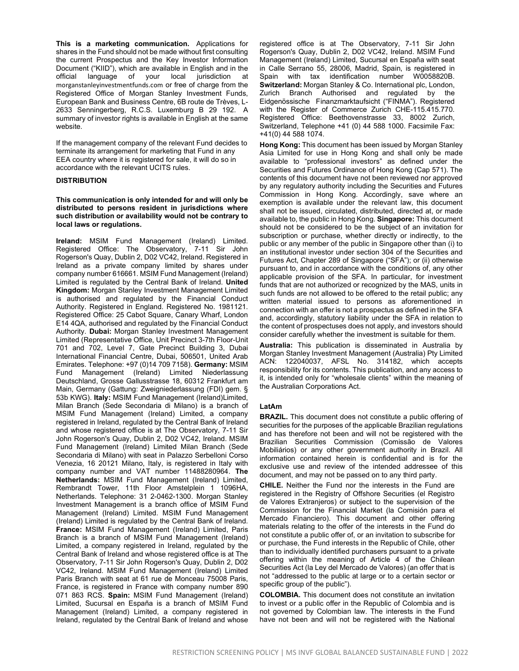This is a marketing communication. Applications for shares in the Fund should not be made without first consulting the current Prospectus and the Key Investor Information Document ("KIID"), which are available in English and in the official language of your local jurisdiction at morganstanleyinvestmentfunds.com or free of charge from the Registered Office of Morgan Stanley Investment Funds, European Bank and Business Centre, 6B route de Trèves, L-2633 Senningerberg, R.C.S. Luxemburg B 29 192. A summary of investor rights is available in English at the same website.

If the management company of the relevant Fund decides to terminate its arrangement for marketing that Fund in any EEA country where it is registered for sale, it will do so in accordance with the relevant UCITS rules.

#### **DISTRIBUTION**

This communication is only intended for and will only be distributed to persons resident in jurisdictions where such distribution or availability would not be contrary to local laws or regulations.

Ireland: MSIM Fund Management (Ireland) Limited. Registered Office: The Observatory, 7-11 Sir John Rogerson's Quay, Dublin 2, D02 VC42, Ireland. Registered in Ireland as a private company limited by shares under company number 616661. MSIM Fund Management (Ireland) Limited is regulated by the Central Bank of Ireland. United Kingdom: Morgan Stanley Investment Management Limited is authorised and regulated by the Financial Conduct Authority. Registered in England. Registered No. 1981121. Registered Office: 25 Cabot Square, Canary Wharf, London E14 4QA, authorised and regulated by the Financial Conduct Authority. Dubai: Morgan Stanley Investment Management Limited (Representative Office, Unit Precinct 3-7th Floor-Unit 701 and 702, Level 7, Gate Precinct Building 3, Dubai International Financial Centre, Dubai, 506501, United Arab Emirates. Telephone: +97 (0)14 709 7158). Germany: MSIM Fund Management (Ireland) Limited Niederlassung Deutschland, Grosse Gallusstrasse 18, 60312 Frankfurt am Main, Germany (Gattung: Zweigniederlassung (FDI) gem. § 53b KWG). Italy: MSIM Fund Management (Ireland)Limited, Milan Branch (Sede Secondaria di Milano) is a branch of MSIM Fund Management (Ireland) Limited, a company registered in Ireland, regulated by the Central Bank of Ireland and whose registered office is at The Observatory, 7-11 Sir John Rogerson's Quay, Dublin 2, D02 VC42, Ireland. MSIM Fund Management (Ireland) Limited Milan Branch (Sede Secondaria di Milano) with seat in Palazzo Serbelloni Corso Venezia, 16 20121 Milano, Italy, is registered in Italy with company number and VAT number 11488280964. The Netherlands: MSIM Fund Management (Ireland) Limited, Rembrandt Tower, 11th Floor Amstelplein 1 1096HA, Netherlands. Telephone: 31 2-0462-1300. Morgan Stanley Investment Management is a branch office of MSIM Fund Management (Ireland) Limited. MSIM Fund Management (Ireland) Limited is regulated by the Central Bank of Ireland. France: MSIM Fund Management (Ireland) Limited, Paris Branch is a branch of MSIM Fund Management (Ireland) Limited, a company registered in Ireland, regulated by the Central Bank of Ireland and whose registered office is at The Observatory, 7-11 Sir John Rogerson's Quay, Dublin 2, D02 VC42, Ireland. MSIM Fund Management (Ireland) Limited Paris Branch with seat at 61 rue de Monceau 75008 Paris, France, is registered in France with company number 890 071 863 RCS. Spain: MSIM Fund Management (Ireland) Limited, Sucursal en España is a branch of MSIM Fund Management (Ireland) Limited, a company registered in Ireland, regulated by the Central Bank of Ireland and whose registered office is at The Observatory, 7-11 Sir John Rogerson's Quay, Dublin 2, D02 VC42, Ireland. MSIM Fund Management (Ireland) Limited, Sucursal en España with seat in Calle Serrano 55, 28006, Madrid, Spain, is registered in Spain with tax identification number W0058820B. Switzerland: Morgan Stanley & Co. International plc, London, Zurich Branch Authorised and regulated by the Eidgenössische Finanzmarktaufsicht ("FINMA"). Registered with the Register of Commerce Zurich CHE-115.415.770. Registered Office: Beethovenstrasse 33, 8002 Zurich, Switzerland, Telephone +41 (0) 44 588 1000. Facsimile Fax: +41(0) 44 588 1074.

Hong Kong: This document has been issued by Morgan Stanley Asia Limited for use in Hong Kong and shall only be made available to "professional investors" as defined under the Securities and Futures Ordinance of Hong Kong (Cap 571). The contents of this document have not been reviewed nor approved by any regulatory authority including the Securities and Futures Commission in Hong Kong. Accordingly, save where an exemption is available under the relevant law, this document shall not be issued, circulated, distributed, directed at, or made available to, the public in Hong Kong. Singapore: This document should not be considered to be the subject of an invitation for subscription or purchase, whether directly or indirectly, to the public or any member of the public in Singapore other than (i) to an institutional investor under section 304 of the Securities and Futures Act, Chapter 289 of Singapore ("SFA"); or (ii) otherwise pursuant to, and in accordance with the conditions of, any other applicable provision of the SFA. In particular, for investment funds that are not authorized or recognized by the MAS, units in such funds are not allowed to be offered to the retail public; any written material issued to persons as aforementioned in connection with an offer is not a prospectus as defined in the SFA and, accordingly, statutory liability under the SFA in relation to the content of prospectuses does not apply, and investors should consider carefully whether the investment is suitable for them.

Australia: This publication is disseminated in Australia by Morgan Stanley Investment Management (Australia) Pty Limited ACN: 122040037, AFSL No. 314182, which accepts responsibility for its contents. This publication, and any access to it, is intended only for "wholesale clients" within the meaning of the Australian Corporations Act.

#### LatAm

BRAZIL. This document does not constitute a public offering of securities for the purposes of the applicable Brazilian regulations and has therefore not been and will not be registered with the Brazilian Securities Commission (Comissão de Valores Mobiliários) or any other government authority in Brazil. All information contained herein is confidential and is for the exclusive use and review of the intended addressee of this document, and may not be passed on to any third party.

CHILE. Neither the Fund nor the interests in the Fund are registered in the Registry of Offshore Securities (el Registro de Valores Extranjeros) or subject to the supervision of the Commission for the Financial Market (la Comisión para el Mercado Financiero). This document and other offering materials relating to the offer of the interests in the Fund do not constitute a public offer of, or an invitation to subscribe for or purchase, the Fund interests in the Republic of Chile, other than to individually identified purchasers pursuant to a private offering within the meaning of Article 4 of the Chilean Securities Act (la Ley del Mercado de Valores) (an offer that is not "addressed to the public at large or to a certain sector or specific group of the public").

COLOMBIA. This document does not constitute an invitation to invest or a public offer in the Republic of Colombia and is not governed by Colombian law. The interests in the Fund have not been and will not be registered with the National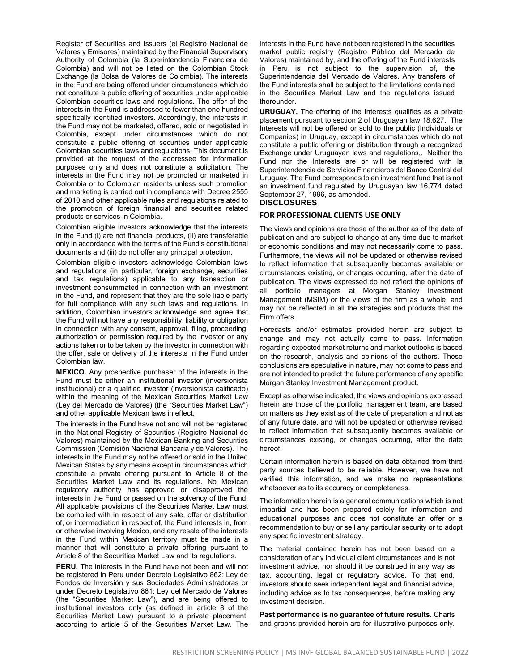Register of Securities and Issuers (el Registro Nacional de Valores y Emisores) maintained by the Financial Supervisory Authority of Colombia (la Superintendencia Financiera de Colombia) and will not be listed on the Colombian Stock Exchange (la Bolsa de Valores de Colombia). The interests in the Fund are being offered under circumstances which do not constitute a public offering of securities under applicable Colombian securities laws and regulations. The offer of the interests in the Fund is addressed to fewer than one hundred specifically identified investors. Accordingly, the interests in the Fund may not be marketed, offered, sold or negotiated in Colombia, except under circumstances which do not constitute a public offering of securities under applicable Colombian securities laws and regulations. This document is provided at the request of the addressee for information purposes only and does not constitute a solicitation. The interests in the Fund may not be promoted or marketed in Colombia or to Colombian residents unless such promotion and marketing is carried out in compliance with Decree 2555 of 2010 and other applicable rules and regulations related to the promotion of foreign financial and securities related products or services in Colombia.

Colombian eligible investors acknowledge that the interests in the Fund (i) are not financial products, (ii) are transferable only in accordance with the terms of the Fund's constitutional documents and (iii) do not offer any principal protection.

Colombian eligible investors acknowledge Colombian laws and regulations (in particular, foreign exchange, securities and tax regulations) applicable to any transaction or investment consummated in connection with an investment in the Fund, and represent that they are the sole liable party for full compliance with any such laws and regulations. In addition, Colombian investors acknowledge and agree that the Fund will not have any responsibility, liability or obligation in connection with any consent, approval, filing, proceeding, authorization or permission required by the investor or any actions taken or to be taken by the investor in connection with the offer, sale or delivery of the interests in the Fund under Colombian law.

MEXICO. Any prospective purchaser of the interests in the Fund must be either an institutional investor (inversionista institucional) or a qualified investor (inversionista calificado) within the meaning of the Mexican Securities Market Law (Ley del Mercado de Valores) (the "Securities Market Law") and other applicable Mexican laws in effect.

The interests in the Fund have not and will not be registered in the National Registry of Securities (Registro Nacional de Valores) maintained by the Mexican Banking and Securities Commission (Comisión Nacional Bancaria y de Valores). The interests in the Fund may not be offered or sold in the United Mexican States by any means except in circumstances which constitute a private offering pursuant to Article 8 of the Securities Market Law and its regulations. No Mexican regulatory authority has approved or disapproved the interests in the Fund or passed on the solvency of the Fund. All applicable provisions of the Securities Market Law must be complied with in respect of any sale, offer or distribution of, or intermediation in respect of, the Fund interests in, from or otherwise involving Mexico, and any resale of the interests in the Fund within Mexican territory must be made in a manner that will constitute a private offering pursuant to Article 8 of the Securities Market Law and its regulations.

PERU. The interests in the Fund have not been and will not be registered in Peru under Decreto Legislativo 862: Ley de Fondos de Inversión y sus Sociedades Administradoras or under Decreto Legislativo 861: Ley del Mercado de Valores (the "Securities Market Law"), and are being offered to institutional investors only (as defined in article 8 of the Securities Market Law) pursuant to a private placement, according to article 5 of the Securities Market Law. The interests in the Fund have not been registered in the securities market public registry (Registro Público del Mercado de Valores) maintained by, and the offering of the Fund interests in Peru is not subject to the supervision of, the Superintendencia del Mercado de Valores. Any transfers of the Fund interests shall be subject to the limitations contained in the Securities Market Law and the regulations issued thereunder.

URUGUAY. The offering of the Interests qualifies as a private placement pursuant to section 2 of Uruguayan law 18,627. The Interests will not be offered or sold to the public (Individuals or Companies) in Uruguay, except in circumstances which do not constitute a public offering or distribution through a recognized Exchange under Uruguayan laws and regulations,. Neither the Fund nor the Interests are or will be registered with la Superintendencia de Servicios Financieros del Banco Central del Uruguay. The Fund corresponds to an investment fund that is not an investment fund regulated by Uruguayan law 16,774 dated September 27, 1996, as amended.

#### DISCLOSURES

#### FOR PROFESSIONAL CLIENTS USE ONLY

The views and opinions are those of the author as of the date of publication and are subject to change at any time due to market or economic conditions and may not necessarily come to pass. Furthermore, the views will not be updated or otherwise revised to reflect information that subsequently becomes available or circumstances existing, or changes occurring, after the date of publication. The views expressed do not reflect the opinions of all portfolio managers at Morgan Stanley Investment Management (MSIM) or the views of the firm as a whole, and may not be reflected in all the strategies and products that the Firm offers.

Forecasts and/or estimates provided herein are subject to change and may not actually come to pass. Information regarding expected market returns and market outlooks is based on the research, analysis and opinions of the authors. These conclusions are speculative in nature, may not come to pass and are not intended to predict the future performance of any specific Morgan Stanley Investment Management product.

Except as otherwise indicated, the views and opinions expressed herein are those of the portfolio management team, are based on matters as they exist as of the date of preparation and not as of any future date, and will not be updated or otherwise revised to reflect information that subsequently becomes available or circumstances existing, or changes occurring, after the date hereof.

Certain information herein is based on data obtained from third party sources believed to be reliable. However, we have not verified this information, and we make no representations whatsoever as to its accuracy or completeness.

The information herein is a general communications which is not impartial and has been prepared solely for information and educational purposes and does not constitute an offer or a recommendation to buy or sell any particular security or to adopt any specific investment strategy.

The material contained herein has not been based on a consideration of any individual client circumstances and is not investment advice, nor should it be construed in any way as tax, accounting, legal or regulatory advice. To that end, investors should seek independent legal and financial advice, including advice as to tax consequences, before making any investment decision.

Past performance is no guarantee of future results. Charts and graphs provided herein are for illustrative purposes only.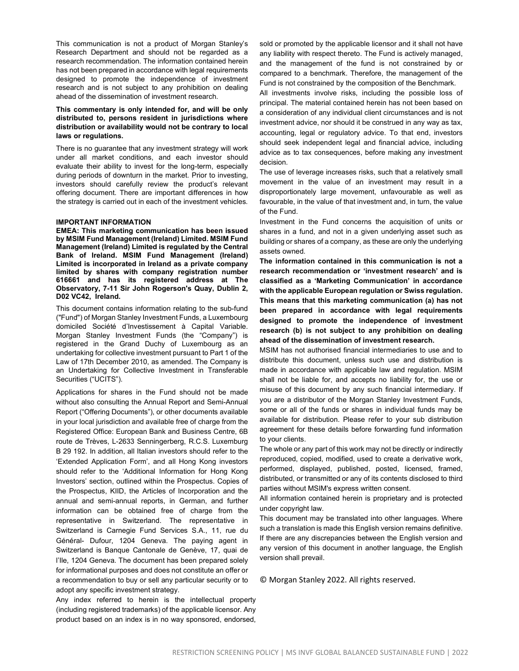This communication is not a product of Morgan Stanley's Research Department and should not be regarded as a research recommendation. The information contained herein has not been prepared in accordance with legal requirements designed to promote the independence of investment research and is not subject to any prohibition on dealing ahead of the dissemination of investment research.

#### This commentary is only intended for, and will be only distributed to, persons resident in jurisdictions where distribution or availability would not be contrary to local laws or regulations.

There is no guarantee that any investment strategy will work under all market conditions, and each investor should evaluate their ability to invest for the long-term, especially during periods of downturn in the market. Prior to investing, investors should carefully review the product's relevant offering document. There are important differences in how the strategy is carried out in each of the investment vehicles.

#### IMPORTANT INFORMATION

EMEA: This marketing communication has been issued by MSIM Fund Management (Ireland) Limited. MSIM Fund Management (Ireland) Limited is regulated by the Central Bank of Ireland. MSIM Fund Management (Ireland) Limited is incorporated in Ireland as a private company limited by shares with company registration number 616661 and has its registered address at The Observatory, 7-11 Sir John Rogerson's Quay, Dublin 2, D02 VC42, Ireland.

This document contains information relating to the sub-fund ("Fund") of Morgan Stanley Investment Funds, a Luxembourg domiciled Société d'Investissement à Capital Variable. Morgan Stanley Investment Funds (the "Company") is registered in the Grand Duchy of Luxembourg as an undertaking for collective investment pursuant to Part 1 of the Law of 17th December 2010, as amended. The Company is an Undertaking for Collective Investment in Transferable Securities ("UCITS").

Applications for shares in the Fund should not be made without also consulting the Annual Report and Semi-Annual Report ("Offering Documents"), or other documents available in your local jurisdiction and available free of charge from the Registered Office: European Bank and Business Centre, 6B route de Trèves, L-2633 Senningerberg, R.C.S. Luxemburg B 29 192. In addition, all Italian investors should refer to the 'Extended Application Form', and all Hong Kong investors should refer to the 'Additional Information for Hong Kong Investors' section, outlined within the Prospectus. Copies of the Prospectus, KIID, the Articles of Incorporation and the annual and semi-annual reports, in German, and further information can be obtained free of charge from the representative in Switzerland. The representative in Switzerland is Carnegie Fund Services S.A., 11, rue du Général- Dufour, 1204 Geneva. The paying agent in Switzerland is Banque Cantonale de Genève, 17, quai de l'Ile, 1204 Geneva. The document has been prepared solely for informational purposes and does not constitute an offer or a recommendation to buy or sell any particular security or to adopt any specific investment strategy.

Any index referred to herein is the intellectual property (including registered trademarks) of the applicable licensor. Any product based on an index is in no way sponsored, endorsed,

sold or promoted by the applicable licensor and it shall not have any liability with respect thereto. The Fund is actively managed, and the management of the fund is not constrained by or compared to a benchmark. Therefore, the management of the Fund is not constrained by the composition of the Benchmark.

All investments involve risks, including the possible loss of principal. The material contained herein has not been based on a consideration of any individual client circumstances and is not investment advice, nor should it be construed in any way as tax, accounting, legal or regulatory advice. To that end, investors should seek independent legal and financial advice, including advice as to tax consequences, before making any investment decision.

The use of leverage increases risks, such that a relatively small movement in the value of an investment may result in a disproportionately large movement, unfavourable as well as favourable, in the value of that investment and, in turn, the value of the Fund.

Investment in the Fund concerns the acquisition of units or shares in a fund, and not in a given underlying asset such as building or shares of a company, as these are only the underlying assets owned.

The information contained in this communication is not a research recommendation or 'investment research' and is classified as a 'Marketing Communication' in accordance with the applicable European regulation or Swiss regulation. This means that this marketing communication (a) has not been prepared in accordance with legal requirements designed to promote the independence of investment research (b) is not subject to any prohibition on dealing ahead of the dissemination of investment research.

MSIM has not authorised financial intermediaries to use and to distribute this document, unless such use and distribution is made in accordance with applicable law and regulation. MSIM shall not be liable for, and accepts no liability for, the use or misuse of this document by any such financial intermediary. If you are a distributor of the Morgan Stanley Investment Funds, some or all of the funds or shares in individual funds may be available for distribution. Please refer to your sub distribution agreement for these details before forwarding fund information to your clients.

The whole or any part of this work may not be directly or indirectly reproduced, copied, modified, used to create a derivative work, performed, displayed, published, posted, licensed, framed, distributed, or transmitted or any of its contents disclosed to third parties without MSIM's express written consent.

All information contained herein is proprietary and is protected under copyright law.

This document may be translated into other languages. Where such a translation is made this English version remains definitive. If there are any discrepancies between the English version and any version of this document in another language, the English version shall prevail.

© Morgan Stanley 2022. All rights reserved.